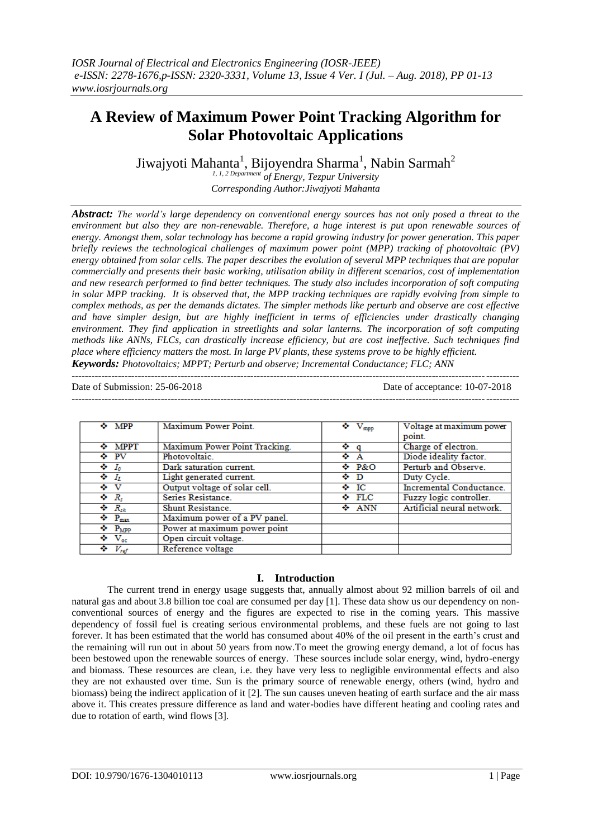# **A Review of Maximum Power Point Tracking Algorithm for Solar Photovoltaic Applications**

Jiwajyoti Mahanta<sup>1</sup>, Bijoyendra Sharma<sup>1</sup>, Nabin Sarmah<sup>2</sup>

*1, 1, 2 Department of Energy, Tezpur University Corresponding Author:Jiwajyoti Mahanta*

*Abstract: The world's large dependency on conventional energy sources has not only posed a threat to the environment but also they are non-renewable. Therefore, a huge interest is put upon renewable sources of energy. Amongst them, solar technology has become a rapid growing industry for power generation. This paper briefly reviews the technological challenges of maximum power point (MPP) tracking of photovoltaic (PV) energy obtained from solar cells. The paper describes the evolution of several MPP techniques that are popular commercially and presents their basic working, utilisation ability in different scenarios, cost of implementation and new research performed to find better techniques. The study also includes incorporation of soft computing in solar MPP tracking. It is observed that, the MPP tracking techniques are rapidly evolving from simple to complex methods, as per the demands dictates. The simpler methods like perturb and observe are cost effective and have simpler design, but are highly inefficient in terms of efficiencies under drastically changing environment. They find application in streetlights and solar lanterns. The incorporation of soft computing methods like ANNs, FLCs, can drastically increase efficiency, but are cost ineffective. Such techniques find place where efficiency matters the most. In large PV plants, these systems prove to be highly efficient. Keywords: Photovoltaics; MPPT; Perturb and observe; Incremental Conductance; FLC; ANN*

---------------------------------------------------------------------------------------------------------------------------------------

 $-1-\frac{1}{2}$ 

Date of Submission: 25-06-2018 Date of acceptance: 10-07-2018

| $\div$ MPP                         | Maximum Power Point.          | $\bullet$ V <sub>mpp</sub> | Voltage at maximum power<br>point. |
|------------------------------------|-------------------------------|----------------------------|------------------------------------|
| $\div$ MPPT                        | Maximum Power Point Tracking. | ❖ q                        | Charge of electron.                |
| ❖ PV                               | Photovoltaic.                 | ❖ A                        | Diode ideality factor.             |
| $\bullet$ $I_0$                    | Dark saturation current.      | $\div$ P&O                 | Perturb and Observe.               |
| $\leftarrow I_L$                   | Light generated current.      | ❖ D                        | Duty Cycle.                        |
| ♦ V                                | Output voltage of solar cell. | $\bullet$ IC               | Incremental Conductance.           |
| $\mathbf{\hat{z}}$ $R_{s}$         | Series Resistance.            | $\div$ FLC                 | Fuzzy logic controller.            |
| $R_{sh}$                           | Shunt Resistance.             | $\div$ ANN                 | Artificial neural network.         |
| $\leftrightarrow$ P <sub>max</sub> | Maximum power of a PV panel.  |                            |                                    |
| $\bullet$ P <sub>MPP</sub>         | Power at maximum power point  |                            |                                    |
| $\bullet$ V <sub>oc</sub>          | Open circuit voltage.         |                            |                                    |
| $\Leftrightarrow$ $V_{ref}$        | Reference voltage             |                            |                                    |

## **I. Introduction**

The current trend in energy usage suggests that, annually almost about 92 million barrels of oil and natural gas and about 3.8 billion toe coal are consumed per day [1]. These data show us our dependency on nonconventional sources of energy and the figures are expected to rise in the coming years. This massive dependency of fossil fuel is creating serious environmental problems, and these fuels are not going to last forever. It has been estimated that the world has consumed about 40% of the oil present in the earth's crust and the remaining will run out in about 50 years from now.To meet the growing energy demand, a lot of focus has been bestowed upon the renewable sources of energy. These sources include solar energy, wind, hydro-energy and biomass. These resources are clean, i.e. they have very less to negligible environmental effects and also they are not exhausted over time. Sun is the primary source of renewable energy, others (wind, hydro and biomass) being the indirect application of it [2]. The sun causes uneven heating of earth surface and the air mass above it. This creates pressure difference as land and water-bodies have different heating and cooling rates and due to rotation of earth, wind flows [3].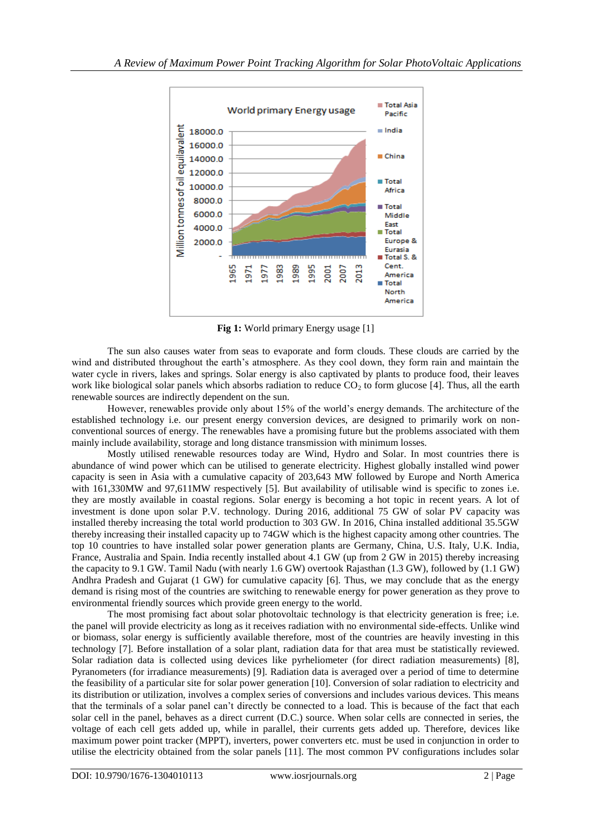

**Fig 1:** World primary Energy usage [1]

The sun also causes water from seas to evaporate and form clouds. These clouds are carried by the wind and distributed throughout the earth's atmosphere. As they cool down, they form rain and maintain the water cycle in rivers, lakes and springs. Solar energy is also captivated by plants to produce food, their leaves work like biological solar panels which absorbs radiation to reduce  $CO<sub>2</sub>$  to form glucose [4]. Thus, all the earth renewable sources are indirectly dependent on the sun.

However, renewables provide only about 15% of the world's energy demands. The architecture of the established technology i.e. our present energy conversion devices, are designed to primarily work on nonconventional sources of energy. The renewables have a promising future but the problems associated with them mainly include availability, storage and long distance transmission with minimum losses.

Mostly utilised renewable resources today are Wind, Hydro and Solar. In most countries there is abundance of wind power which can be utilised to generate electricity. Highest globally installed wind power capacity is seen in Asia with a cumulative capacity of 203,643 MW followed by Europe and North America with 161,330MW and 97,611MW respectively [5]. But availability of utilisable wind is specific to zones i.e. they are mostly available in coastal regions. Solar energy is becoming a hot topic in recent years. A lot of investment is done upon solar P.V. technology. During 2016, additional 75 GW of solar PV capacity was installed thereby increasing the total world production to 303 GW. In 2016, China installed additional 35.5GW thereby increasing their installed capacity up to 74GW which is the highest capacity among other countries. The top 10 countries to have installed solar power generation plants are Germany, China, U.S. Italy, U.K. India, France, Australia and Spain. India recently installed about 4.1 GW (up from 2 GW in 2015) thereby increasing the capacity to 9.1 GW. Tamil Nadu (with nearly 1.6 GW) overtook Rajasthan (1.3 GW), followed by (1.1 GW) Andhra Pradesh and Gujarat (1 GW) for cumulative capacity [6]. Thus, we may conclude that as the energy demand is rising most of the countries are switching to renewable energy for power generation as they prove to environmental friendly sources which provide green energy to the world.

The most promising fact about solar photovoltaic technology is that electricity generation is free; i.e. the panel will provide electricity as long as it receives radiation with no environmental side-effects. Unlike wind or biomass, solar energy is sufficiently available therefore, most of the countries are heavily investing in this technology [7]. Before installation of a solar plant, radiation data for that area must be statistically reviewed. Solar radiation data is collected using devices like pyrheliometer (for direct radiation measurements) [8], Pyranometers (for irradiance measurements) [9]. Radiation data is averaged over a period of time to determine the feasibility of a particular site for solar power generation [10]. Conversion of solar radiation to electricity and its distribution or utilization, involves a complex series of conversions and includes various devices. This means that the terminals of a solar panel can't directly be connected to a load. This is because of the fact that each solar cell in the panel, behaves as a direct current (D.C.) source. When solar cells are connected in series, the voltage of each cell gets added up, while in parallel, their currents gets added up. Therefore, devices like maximum power point tracker (MPPT), inverters, power converters etc. must be used in conjunction in order to utilise the electricity obtained from the solar panels [11]. The most common PV configurations includes solar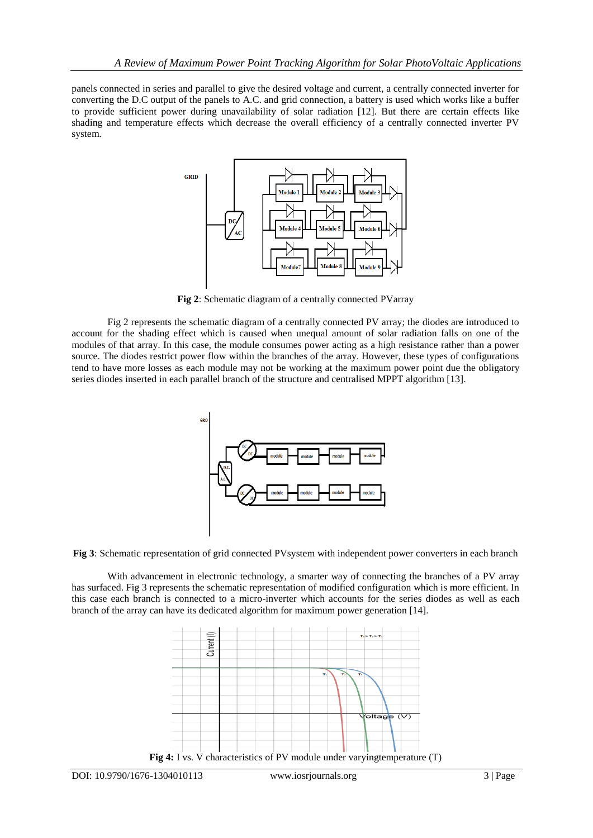panels connected in series and parallel to give the desired voltage and current, a centrally connected inverter for converting the D.C output of the panels to A.C. and grid connection, a battery is used which works like a buffer to provide sufficient power during unavailability of solar radiation [12]. But there are certain effects like shading and temperature effects which decrease the overall efficiency of a centrally connected inverter PV system.



**Fig 2**: Schematic diagram of a centrally connected PVarray

Fig 2 represents the schematic diagram of a centrally connected PV array; the diodes are introduced to account for the shading effect which is caused when unequal amount of solar radiation falls on one of the modules of that array. In this case, the module consumes power acting as a high resistance rather than a power source. The diodes restrict power flow within the branches of the array. However, these types of configurations tend to have more losses as each module may not be working at the maximum power point due the obligatory series diodes inserted in each parallel branch of the structure and centralised MPPT algorithm [13].



**Fig 3**: Schematic representation of grid connected PVsystem with independent power converters in each branch

With advancement in electronic technology, a smarter way of connecting the branches of a PV array has surfaced. Fig 3 represents the schematic representation of modified configuration which is more efficient. In this case each branch is connected to a micro-inverter which accounts for the series diodes as well as each branch of the array can have its dedicated algorithm for maximum power generation [14].

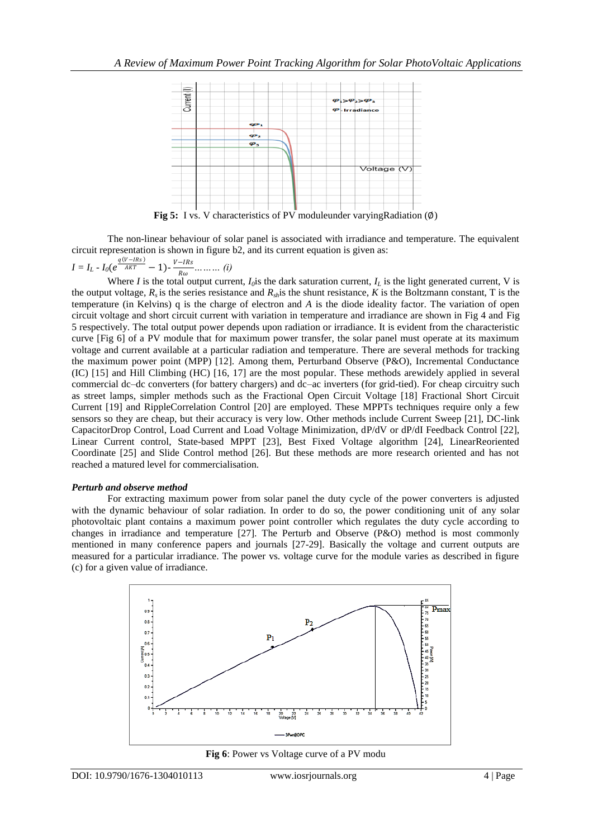

**Fig 5:** I vs. V characteristics of PV moduleunder varyingRadiation (∅)

The non-linear behaviour of solar panel is associated with irradiance and temperature. The equivalent circuit representation is shown in figure b2, and its current equation is given as:

$$
I = I_L - I_0(e^{\frac{q(V - IRs)}{AKT}} - 1) - \frac{V - IRs}{R\omega} \dots \dots \dots (i)
$$

Where *I* is the total output current,  $I_0$  is the dark saturation current,  $I_L$  is the light generated current, V is the output voltage,  $R_s$  is the series resistance and  $R_s$  is the shunt resistance,  $K$  is the Boltzmann constant, T is the temperature (in Kelvins) q is the charge of electron and *A* is the diode ideality factor. The variation of open circuit voltage and short circuit current with variation in temperature and irradiance are shown in Fig 4 and Fig 5 respectively. The total output power depends upon radiation or irradiance. It is evident from the characteristic curve [Fig 6] of a PV module that for maximum power transfer, the solar panel must operate at its maximum voltage and current available at a particular radiation and temperature. There are several methods for tracking the maximum power point (MPP) [12]. Among them, Perturband Observe (P&O), Incremental Conductance (IC) [15] and Hill Climbing (HC) [16, 17] are the most popular. These methods arewidely applied in several commercial dc–dc converters (for battery chargers) and dc–ac inverters (for grid-tied). For cheap circuitry such as street lamps, simpler methods such as the Fractional Open Circuit Voltage [18] Fractional Short Circuit Current [19] and RippleCorrelation Control [20] are employed. These MPPTs techniques require only a few sensors so they are cheap, but their accuracy is very low. Other methods include Current Sweep [21], DC-link CapacitorDrop Control, Load Current and Load Voltage Minimization, dP/dV or dP/dI Feedback Control [22], Linear Current control, State-based MPPT [23], Best Fixed Voltage algorithm [24], LinearReoriented Coordinate [25] and Slide Control method [26]. But these methods are more research oriented and has not reached a matured level for commercialisation.

#### *Perturb and observe method*

For extracting maximum power from solar panel the duty cycle of the power converters is adjusted with the dynamic behaviour of solar radiation. In order to do so, the power conditioning unit of any solar photovoltaic plant contains a maximum power point controller which regulates the duty cycle according to changes in irradiance and temperature [27]. The Perturb and Observe (P&O) method is most commonly mentioned in many conference papers and journals [27-29]. Basically the voltage and current outputs are measured for a particular irradiance. The power vs. voltage curve for the module varies as described in figure (c) for a given value of irradiance.



**Fig 6**: Power vs Voltage curve of a PV modu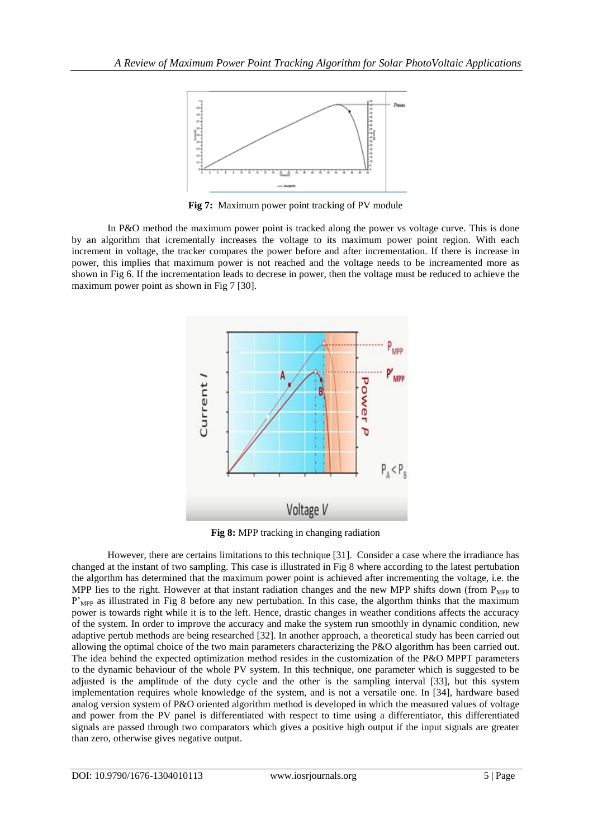

**Fig 7:** Maximum power point tracking of PV module

In P&O method the maximum power point is tracked along the power vs voltage curve. This is done by an algorithm that icrementally increases the voltage to its maximum power point region. With each increment in voltage, the tracker compares the power before and after incrementation. If there is increase in power, this implies that maximum power is not reached and the voltage needs to be increamented more as shown in Fig 6. If the incrementation leads to decrese in power, then the voltage must be reduced to achieve the maximum power point as shown in Fig 7 [30].



**Fig 8:** MPP tracking in changing radiation

However, there are certains limitations to this technique [31]. Consider a case where the irradiance has changed at the instant of two sampling. This case is illustrated in Fig 8 where according to the latest pertubation the algorthm has determined that the maximum power point is achieved after incrementing the voltage, i.e. the MPP lies to the right. However at that instant radiation changes and the new MPP shifts down (from  $P_{MPP}$  to P'<sub>MPP</sub> as illustrated in Fig 8 before any new pertubation. In this case, the algorthm thinks that the maximum power is towards right while it is to the left. Hence, drastic changes in weather conditions affects the accuracy of the system. In order to improve the accuracy and make the system run smoothly in dynamic condition, new adaptive pertub methods are being researched [32]. In another approach, a theoretical study has been carried out allowing the optimal choice of the two main parameters characterizing the P&O algorithm has been carried out. The idea behind the expected optimization method resides in the customization of the P&O MPPT parameters to the dynamic behaviour of the whole PV system. In this technique, one parameter which is suggested to be adjusted is the amplitude of the duty cycle and the other is the sampling interval [33], but this system implementation requires whole knowledge of the system, and is not a versatile one. In [34], hardware based analog version system of P&O oriented algorithm method is developed in which the measured values of voltage and power from the PV panel is differentiated with respect to time using a differentiator, this differentiated signals are passed through two comparators which gives a positive high output if the input signals are greater than zero, otherwise gives negative output.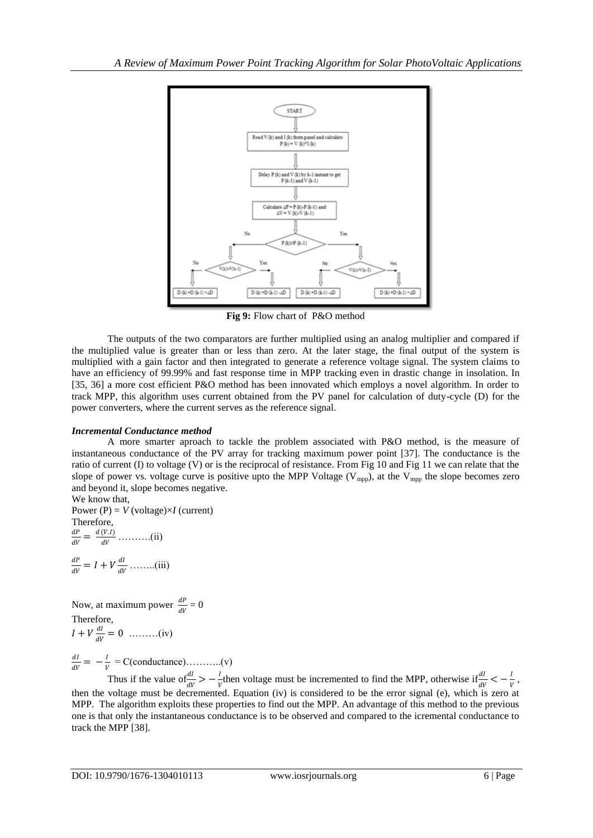

**Fig 9:** Flow chart of P&O method

The outputs of the two comparators are further multiplied using an analog multiplier and compared if the multiplied value is greater than or less than zero. At the later stage, the final output of the system is multiplied with a gain factor and then integrated to generate a reference voltage signal. The system claims to have an efficiency of 99.99% and fast response time in MPP tracking even in drastic change in insolation. In [35, 36] a more cost efficient P&O method has been innovated which employs a novel algorithm. In order to track MPP, this algorithm uses current obtained from the PV panel for calculation of duty-cycle (D) for the power converters, where the current serves as the reference signal.

## *Incremental Conductance method*

A more smarter aproach to tackle the problem associated with P&O method, is the measure of instantaneous conductance of the PV array for tracking maximum power point [37]. The conductance is the ratio of current (I) to voltage (V) or is the reciprocal of resistance. From Fig 10 and Fig 11 we can relate that the slope of power vs. voltage curve is positive upto the MPP Voltage ( $V_{mpp}$ ), at the  $V_{mpp}$  the slope becomes zero and beyond it, slope becomes negative. We know that,

Power (P) =  $V$  (voltage) $\times I$  (current) Therefore,  $dP$  $\frac{dP}{dV} = \frac{d(V.I)}{dV}$  $\frac{\overline{(v \cdot x)}}{dV}$  ...........(ii)

$$
\frac{dP}{dV} = I + V \frac{dI}{dV} \dots \dots \dots (iii)
$$

Now, at maximum power  $\frac{dP}{dV} = 0$ Therefore,  $I+V\frac{dI}{dV}$  $\frac{du}{dV} = 0$  .........(iv)

 $dI$  $\frac{dI}{dV} = -\frac{I}{V}$  $\frac{1}{V}$  = C(conductance)………..(v)

Thus if the value of  $\frac{dI}{dV} > -\frac{I}{V}$  $\frac{d}{dt}$  then voltage must be incremented to find the MPP, otherwise if  $\frac{dI}{dV} < -\frac{1}{V}$  $\frac{1}{V}$ , then the voltage must be decremented. Equation (iv) is considered to be the error signal (e), which is zero at MPP. The algorithm exploits these properties to find out the MPP. An advantage of this method to the previous one is that only the instantaneous conductance is to be observed and compared to the icremental conductance to track the MPP [38].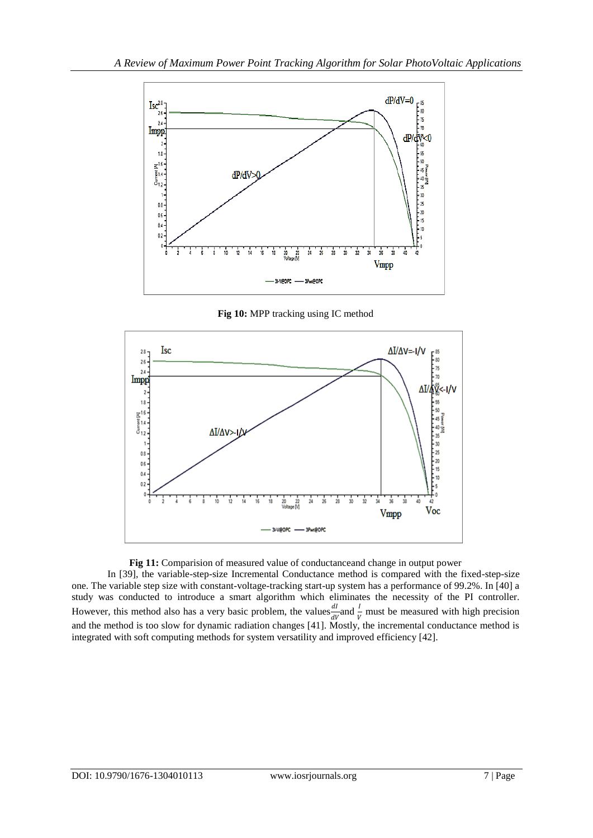

**Fig 10:** MPP tracking using IC method



#### **Fig 11:** Comparision of measured value of conductanceand change in output power

In [39], the variable-step-size Incremental Conductance method is compared with the fixed-step-size one. The variable step size with constant-voltage-tracking start-up system has a performance of 99.2%. In [40] a study was conducted to introduce a smart algorithm which eliminates the necessity of the PI controller. However, this method also has a very basic problem, the values  $\frac{dI}{dV}$  and  $\frac{I}{V}$  must be measured with high precision and the method is too slow for dynamic radiation changes [41]. Mostly, the incremental conductance method is integrated with soft computing methods for system versatility and improved efficiency [42].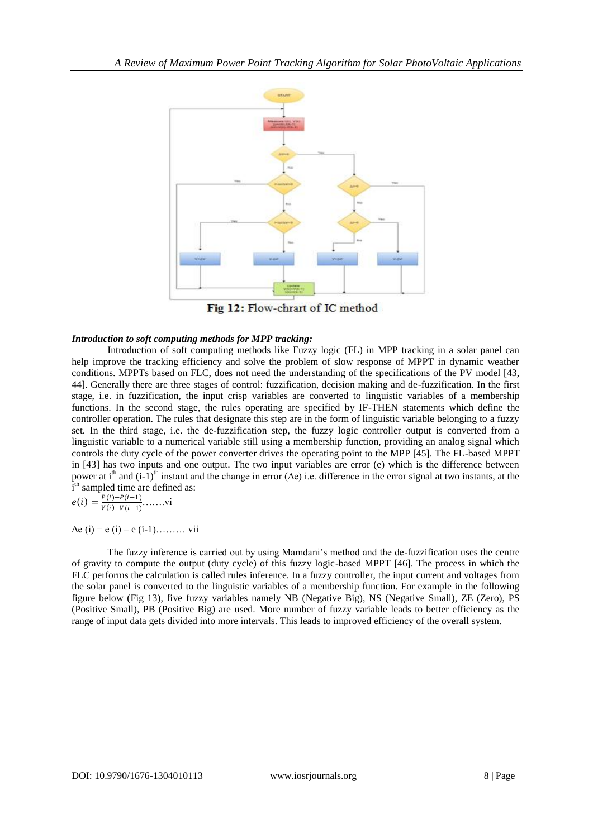

Fig 12: Flow-chrart of IC method

#### *Introduction to soft computing methods for MPP tracking:*

Introduction of soft computing methods like Fuzzy logic (FL) in MPP tracking in a solar panel can help improve the tracking efficiency and solve the problem of slow response of MPPT in dynamic weather conditions. MPPTs based on FLC, does not need the understanding of the specifications of the PV model [43, 44]. Generally there are three stages of control: fuzzification, decision making and de-fuzzification. In the first stage, i.e. in fuzzification, the input crisp variables are converted to linguistic variables of a membership functions. In the second stage, the rules operating are specified by IF-THEN statements which define the controller operation. The rules that designate this step are in the form of linguistic variable belonging to a fuzzy set. In the third stage, i.e. the de-fuzzification step, the fuzzy logic controller output is converted from a linguistic variable to a numerical variable still using a membership function, providing an analog signal which controls the duty cycle of the power converter drives the operating point to the MPP [45]. The FL-based MPPT in [43] has two inputs and one output. The two input variables are error (e) which is the difference between power at i<sup>th</sup> and  $(i-1)$ <sup>th</sup> instant and the change in error ( $\Delta e$ ) i.e. difference in the error signal at two instants, at the i<sup>th</sup> sampled time are defined as:  $D(i)-D(i-1)$ 

$$
e(i) = \frac{F(i) - F(i-1)}{V(i) - V(i-1)} \dots \dots \text{vi}
$$

 $\Delta e$  (i) = e (i) – e (i-1)……… vii

The fuzzy inference is carried out by using Mamdani's method and the de-fuzzification uses the centre of gravity to compute the output (duty cycle) of this fuzzy logic-based MPPT [46]. The process in which the FLC performs the calculation is called rules inference. In a fuzzy controller, the input current and voltages from the solar panel is converted to the linguistic variables of a membership function. For example in the following figure below (Fig 13), five fuzzy variables namely NB (Negative Big), NS (Negative Small), ZE (Zero), PS (Positive Small), PB (Positive Big) are used. More number of fuzzy variable leads to better efficiency as the range of input data gets divided into more intervals. This leads to improved efficiency of the overall system.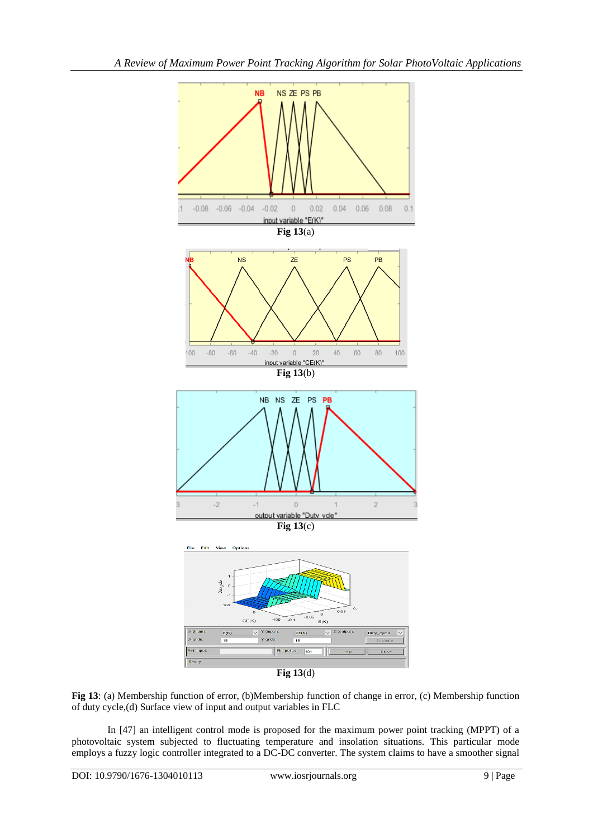

**Fig 13**(d)

**Fig 13**: (a) Membership function of error, (b)Membership function of change in error, (c) Membership function of duty cycle,(d) Surface view of input and output variables in FLC

In [47] an intelligent control mode is proposed for the maximum power point tracking (MPPT) of a photovoltaic system subjected to fluctuating temperature and insolation situations. This particular mode employs a fuzzy logic controller integrated to a DC-DC converter. The system claims to have a smoother signal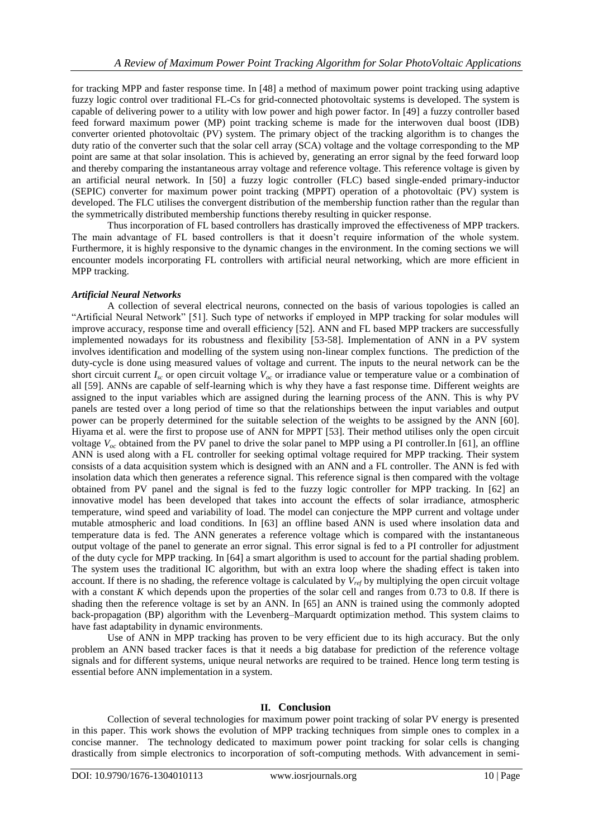for tracking MPP and faster response time. In [48] a method of maximum power point tracking using adaptive fuzzy logic control over traditional FL-Cs for grid-connected photovoltaic systems is developed. The system is capable of delivering power to a utility with low power and high power factor. In [49] a fuzzy controller based feed forward maximum power (MP) point tracking scheme is made for the interwoven dual boost (IDB) converter oriented photovoltaic (PV) system. The primary object of the tracking algorithm is to changes the duty ratio of the converter such that the solar cell array (SCA) voltage and the voltage corresponding to the MP point are same at that solar insolation. This is achieved by, generating an error signal by the feed forward loop and thereby comparing the instantaneous array voltage and reference voltage. This reference voltage is given by an artificial neural network. In [50] a fuzzy logic controller (FLC) based single-ended primary-inductor (SEPIC) converter for maximum power point tracking (MPPT) operation of a photovoltaic (PV) system is developed. The FLC utilises the convergent distribution of the membership function rather than the regular than the symmetrically distributed membership functions thereby resulting in quicker response.

Thus incorporation of FL based controllers has drastically improved the effectiveness of MPP trackers. The main advantage of FL based controllers is that it doesn't require information of the whole system. Furthermore, it is highly responsive to the dynamic changes in the environment. In the coming sections we will encounter models incorporating FL controllers with artificial neural networking, which are more efficient in MPP tracking.

### *Artificial Neural Networks*

A collection of several electrical neurons, connected on the basis of various topologies is called an "Artificial Neural Network" [51]. Such type of networks if employed in MPP tracking for solar modules will improve accuracy, response time and overall efficiency [52]. ANN and FL based MPP trackers are successfully implemented nowadays for its robustness and flexibility [53-58]. Implementation of ANN in a PV system involves identification and modelling of the system using non-linear complex functions. The prediction of the duty-cycle is done using measured values of voltage and current. The inputs to the neural network can be the short circuit current  $I_{\rm sc}$  or open circuit voltage  $V_{\rm oc}$  or irradiance value or temperature value or a combination of all [59]. ANNs are capable of self-learning which is why they have a fast response time. Different weights are assigned to the input variables which are assigned during the learning process of the ANN. This is why PV panels are tested over a long period of time so that the relationships between the input variables and output power can be properly determined for the suitable selection of the weights to be assigned by the ANN [60]. Hiyama et al. were the first to propose use of ANN for MPPT [53]. Their method utilises only the open circuit voltage  $V_{\alpha c}$  obtained from the PV panel to drive the solar panel to MPP using a PI controller.In [61], an offline ANN is used along with a FL controller for seeking optimal voltage required for MPP tracking. Their system consists of a data acquisition system which is designed with an ANN and a FL controller. The ANN is fed with insolation data which then generates a reference signal. This reference signal is then compared with the voltage obtained from PV panel and the signal is fed to the fuzzy logic controller for MPP tracking. In [62] an innovative model has been developed that takes into account the effects of solar irradiance, atmospheric temperature, wind speed and variability of load. The model can conjecture the MPP current and voltage under mutable atmospheric and load conditions. In [63] an offline based ANN is used where insolation data and temperature data is fed. The ANN generates a reference voltage which is compared with the instantaneous output voltage of the panel to generate an error signal. This error signal is fed to a PI controller for adjustment of the duty cycle for MPP tracking. In [64] a smart algorithm is used to account for the partial shading problem. The system uses the traditional IC algorithm, but with an extra loop where the shading effect is taken into account. If there is no shading, the reference voltage is calculated by  $V_{ref}$  by multiplying the open circuit voltage with a constant *K* which depends upon the properties of the solar cell and ranges from 0.73 to 0.8. If there is shading then the reference voltage is set by an ANN. In [65] an ANN is trained using the commonly adopted back-propagation (BP) algorithm with the Levenberg–Marquardt optimization method. This system claims to have fast adaptability in dynamic environments.

Use of ANN in MPP tracking has proven to be very efficient due to its high accuracy. But the only problem an ANN based tracker faces is that it needs a big database for prediction of the reference voltage signals and for different systems, unique neural networks are required to be trained. Hence long term testing is essential before ANN implementation in a system.

## **II. Conclusion**

Collection of several technologies for maximum power point tracking of solar PV energy is presented in this paper. This work shows the evolution of MPP tracking techniques from simple ones to complex in a concise manner. The technology dedicated to maximum power point tracking for solar cells is changing drastically from simple electronics to incorporation of soft-computing methods. With advancement in semi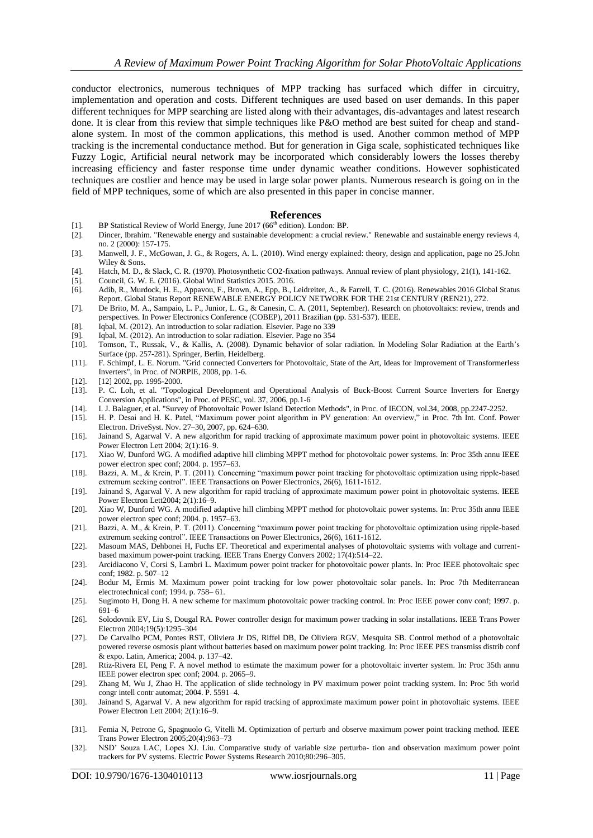conductor electronics, numerous techniques of MPP tracking has surfaced which differ in circuitry, implementation and operation and costs. Different techniques are used based on user demands. In this paper different techniques for MPP searching are listed along with their advantages, dis-advantages and latest research done. It is clear from this review that simple techniques like P&O method are best suited for cheap and standalone system. In most of the common applications, this method is used. Another common method of MPP tracking is the incremental conductance method. But for generation in Giga scale, sophisticated techniques like Fuzzy Logic, Artificial neural network may be incorporated which considerably lowers the losses thereby increasing efficiency and faster response time under dynamic weather conditions. However sophisticated techniques are costlier and hence may be used in large solar power plants. Numerous research is going on in the field of MPP techniques, some of which are also presented in this paper in concise manner.

#### **References**

- [1]. BP Statistical Review of World Energy, June 2017 ( $66<sup>th</sup>$  edition). London: BP. [2]. Dincer, Ibrahim. "Renewable energy and sustainable development: a crucial regional
- [2]. Dincer, Ibrahim. "Renewable energy and sustainable development: a crucial review." Renewable and sustainable energy reviews 4, no. 2 (2000): 157-175.
- [3]. Manwell, J. F., McGowan, J. G., & Rogers, A. L. (2010). Wind energy explained: theory, design and application, page no 25.John Wiley & Sons.
- [4]. Hatch, M. D., & Slack, C. R. (1970). Photosynthetic CO2-fixation pathways. Annual review of plant physiology, 21(1), 141-162.
- [5]. Council, G. W. E. (2016). Global Wind Statistics 2015. 2016.
- [6]. Adib, R., Murdock, H. E., Appavou, F., Brown, A., Epp, B., Leidreiter, A., & Farrell, T. C. (2016). Renewables 2016 Global Status Report. Global Status Report RENEWABLE ENERGY POLICY NETWORK FOR THE 21st CENTURY (REN21), 272.
- [7]. De Brito, M. A., Sampaio, L. P., Junior, L. G., & Canesin, C. A. (2011, September). Research on photovoltaics: review, trends and perspectives. In Power Electronics Conference (COBEP), 2011 Brazilian (pp. 531-537). IEEE.
- [8]. Iqbal, M. (2012). An introduction to solar radiation. Elsevier. Page no 339
- [9]. Iqbal, M. (2012). An introduction to solar radiation. Elsevier. Page no 354
- [10]. Tomson, T., Russak, V., & Kallis, A. (2008). Dynamic behavior of solar radiation. In Modeling Solar Radiation at the Earth's Surface (pp. 257-281). Springer, Berlin, Heidelberg.
- [11]. F. Schimpf, L. E. Norum. "Grid connected Converters for Photovoltaic, State of the Art, Ideas for Improvement of Transformerless Inverters", in Proc. of NORPIE, 2008, pp. 1-6.
- [12]. [12] 2002, pp. 1995-2000.
- [13]. P. C. Loh, et al. "Topological Development and Operational Analysis of Buck-Boost Current Source Inverters for Energy Conversion Applications", in Proc. of PESC, vol. 37, 2006, pp.1-6
- [14]. I. J. Balaguer, et al. "Survey of Photovoltaic Power Island Detection Methods", in Proc. of IECON, vol.34, 2008, pp.2247-2252.
- [15]. H. P. Desai and H. K. Patel, "Maximum power point algorithm in PV generation: An overview," in Proc. 7th Int. Conf. Power Electron. DriveSyst. Nov. 27–30, 2007, pp. 624–630.
- [16]. Jainand S, Agarwal V. A new algorithm for rapid tracking of approximate maximum power point in photovoltaic systems. IEEE Power Electron Lett 2004; 2(1):16–9.
- [17]. Xiao W, Dunford WG. A modified adaptive hill climbing MPPT method for photovoltaic power systems. In: Proc 35th annu IEEE power electron spec conf; 2004. p. 1957–63.
- [18]. Bazzi, A. M., & Krein, P. T. (2011). Concerning "maximum power point tracking for photovoltaic optimization using ripple-based extremum seeking control". IEEE Transactions on Power Electronics, 26(6), 1611-1612.
- [19]. Jainand S, Agarwal V. A new algorithm for rapid tracking of approximate maximum power point in photovoltaic systems. IEEE Power Electron Lett2004; 2(1):16–9.
- [20]. Xiao W, Dunford WG. A modified adaptive hill climbing MPPT method for photovoltaic power systems. In: Proc 35th annu IEEE power electron spec conf; 2004. p. 1957–63.
- [21]. Bazzi, A. M., & Krein, P. T. (2011). Concerning "maximum power point tracking for photovoltaic optimization using ripple-based extremum seeking control". IEEE Transactions on Power Electronics, 26(6), 1611-1612.
- [22]. Masoum MAS, Dehbonei H, Fuchs EF. Theoretical and experimental analyses of photovoltaic systems with voltage and currentbased maximum power-point tracking. IEEE Trans Energy Convers 2002; 17(4):514–22.
- [23]. Arcidiacono V, Corsi S, Lambri L. Maximum power point tracker for photovoltaic power plants. In: Proc IEEE photovoltaic spec conf; 1982. p. 507–12
- [24]. Bodur M, Ermis M. Maximum power point tracking for low power photovoltaic solar panels. In: Proc 7th Mediterranean electrotechnical conf; 1994. p. 758– 61.
- [25]. Sugimoto H, Dong H. A new scheme for maximum photovoltaic power tracking control. In: Proc IEEE power conv conf; 1997. p. 691–6
- [26]. Solodovnik EV, Liu S, Dougal RA. Power controller design for maximum power tracking in solar installations. IEEE Trans Power Electron 2004;19(5):1295–304
- [27]. De Carvalho PCM, Pontes RST, Oliviera Jr DS, Riffel DB, De Oliviera RGV, Mesquita SB. Control method of a photovoltaic powered reverse osmosis plant without batteries based on maximum power point tracking. In: Proc IEEE PES transmiss distrib conf & expo. Latin, America; 2004. p. 137–42.
- [28]. Rtiz-Rivera EI, Peng F. A novel method to estimate the maximum power for a photovoltaic inverter system. In: Proc 35th annu IEEE power electron spec conf; 2004. p. 2065–9.
- [29]. Zhang M, Wu J, Zhao H. The application of slide technology in PV maximum power point tracking system. In: Proc 5th world congr intell contr automat; 2004. P. 5591–4.
- [30]. Jainand S, Agarwal V. A new algorithm for rapid tracking of approximate maximum power point in photovoltaic systems. IEEE Power Electron Lett 2004; 2(1):16–9.
- [31]. Femia N, Petrone G, Spagnuolo G, Vitelli M. Optimization of perturb and observe maximum power point tracking method. IEEE Trans Power Electron 2005;20(4):963–73
- [32]. NSD' Souza LAC, Lopes XJ. Liu. Comparative study of variable size perturba- tion and observation maximum power point trackers for PV systems. Electric Power Systems Research 2010;80:296–305.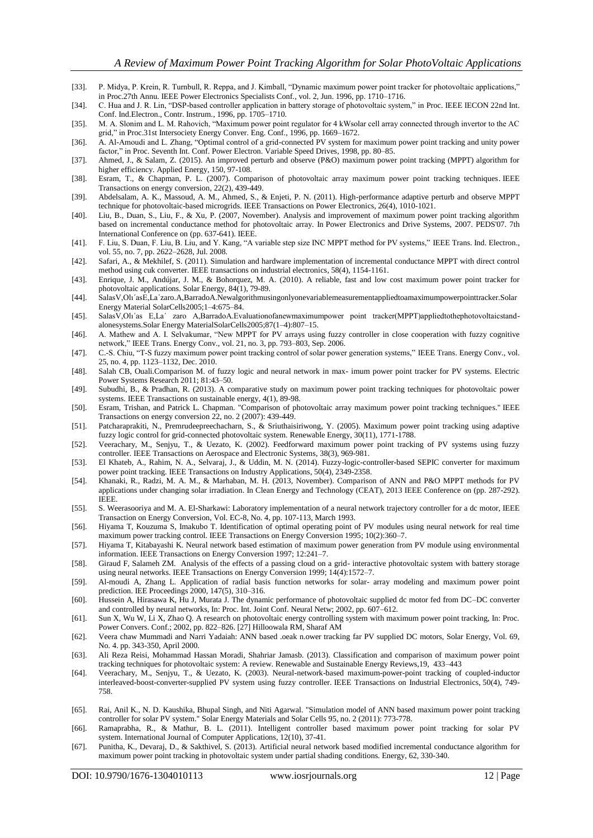- [33]. P. Midya, P. Krein, R. Turnbull, R. Reppa, and J. Kimball, "Dynamic maximum power point tracker for photovoltaic applications," in Proc.27th Annu. IEEE Power Electronics Specialists Conf., vol. 2, Jun. 1996, pp. 1710–1716.
- [34]. C. Hua and J. R. Lin, "DSP-based controller application in battery storage of photovoltaic system," in Proc. IEEE IECON 22nd Int. Conf. Ind.Electron., Contr. Instrum., 1996, pp. 1705–1710.
- [35]. M. A. Slonim and L. M. Rahovich, "Maximum power point regulator for 4 kWsolar cell array connected through invertor to the AC grid," in Proc.31st Intersociety Energy Conver. Eng. Conf., 1996, pp. 1669–1672.
- [36]. A. Al-Amoudi and L. Zhang, "Optimal control of a grid-connected PV system for maximum power point tracking and unity power factor," in Proc. Seventh Int. Conf. Power Electron. Variable Speed Drives, 1998, pp. 80–85.
- [37]. Ahmed, J., & Salam, Z. (2015). An improved perturb and observe (P&O) maximum power point tracking (MPPT) algorithm for higher efficiency. Applied Energy, 150, 97-108.
- [38]. Esram, T., & Chapman, P. L. (2007). Comparison of photovoltaic array maximum power point tracking techniques. IEEE Transactions on energy conversion, 22(2), 439-449.
- [39]. Abdelsalam, A. K., Massoud, A. M., Ahmed, S., & Enjeti, P. N. (2011). High-performance adaptive perturb and observe MPPT technique for photovoltaic-based microgrids. IEEE Transactions on Power Electronics, 26(4), 1010-1021.
- [40]. Liu, B., Duan, S., Liu, F., & Xu, P. (2007, November). Analysis and improvement of maximum power point tracking algorithm based on incremental conductance method for photovoltaic array. In Power Electronics and Drive Systems, 2007. PEDS'07. 7th International Conference on (pp. 637-641). IEEE.
- [41]. F. Liu, S. Duan, F. Liu, B. Liu, and Y. Kang, "A variable step size INC MPPT method for PV systems," IEEE Trans. Ind. Electron., vol. 55, no. 7, pp. 2622–2628, Jul. 2008.
- [42]. Safari, A., & Mekhilef, S. (2011). Simulation and hardware implementation of incremental conductance MPPT with direct control method using cuk converter. IEEE transactions on industrial electronics, 58(4), 1154-1161.
- [43]. Enrique, J. M., Andújar, J. M., & Bohorquez, M. A. (2010). A reliable, fast and low cost maximum power point tracker for photovoltaic applications. Solar Energy, 84(1), 79-89.
- [44]. SalasV,Olı´asE,La´zaro.A,BarradoA.Newalgorithmusingonlyonevariablemeasurementappliedtoamaximumpowerpointtracker.Solar Energy Material SolarCells2005;1–4:675–84.
- [45]. SalasV,Olı´as E,La´ zaro A,BarradoA.Evaluationofanewmaximumpower point tracker(MPPT)appliedtothephotovoltaicstandalonesystems.Solar Energy MaterialSolarCells2005;87(1–4):807–15.
- [46]. A. Mathew and A. I. Selvakumar, "New MPPT for PV arrays using fuzzy controller in close cooperation with fuzzy cognitive network," IEEE Trans. Energy Conv., vol. 21, no. 3, pp. 793–803, Sep. 2006.
- [47]. C.-S. Chiu, "T-S fuzzy maximum power point tracking control of solar power generation systems," IEEE Trans. Energy Conv., vol. 25, no. 4, pp. 1123–1132, Dec. 2010.
- [48]. Salah CB, Ouali.Comparison M. of fuzzy logic and neural network in max- imum power point tracker for PV systems. Electric Power Systems Research 2011; 81:43–50.
- [49]. Subudhi, B., & Pradhan, R. (2013). A comparative study on maximum power point tracking techniques for photovoltaic power systems. IEEE Transactions on sustainable energy, 4(1), 89-98.
- [50]. Esram, Trishan, and Patrick L. Chapman. "Comparison of photovoltaic array maximum power point tracking techniques." IEEE Transactions on energy conversion 22, no. 2 (2007): 439-449.
- [51]. Patcharaprakiti, N., Premrudeepreechacharn, S., & Sriuthaisiriwong, Y. (2005). Maximum power point tracking using adaptive fuzzy logic control for grid-connected photovoltaic system. Renewable Energy, 30(11), 1771-1788.
- [52]. Veerachary, M., Senjyu, T., & Uezato, K. (2002). Feedforward maximum power point tracking of PV systems using fuzzy controller. IEEE Transactions on Aerospace and Electronic Systems, 38(3), 969-981.
- [53]. El Khateb, A., Rahim, N. A., Selvaraj, J., & Uddin, M. N. (2014). Fuzzy-logic-controller-based SEPIC converter for maximum power point tracking. IEEE Transactions on Industry Applications, 50(4), 2349-2358.
- [54]. Khanaki, R., Radzi, M. A. M., & Marhaban, M. H. (2013, November). Comparison of ANN and P&O MPPT methods for PV applications under changing solar irradiation. In Clean Energy and Technology (CEAT), 2013 IEEE Conference on (pp. 287-292). **IEEE**
- [55]. S. Weerasooriya and M. A. El-Sharkawi: Laboratory implementation of a neural network trajectory controller for a dc motor, IEEE Transaction on Energy Conversion, Vol. EC-8, No. 4, pp. 107-113, March 1993.
- [56]. Hiyama T, Kouzuma S, Imakubo T. Identification of optimal operating point of PV modules using neural network for real time maximum power tracking control. IEEE Transactions on Energy Conversion 1995; 10(2):360–7.
- [57]. Hiyama T, Kitabayashi K. Neural network based estimation of maximum power generation from PV module using environmental information. IEEE Transactions on Energy Conversion 1997; 12:241–7.
- [58]. Giraud F, Salameh ZM. Analysis of the effects of a passing cloud on a grid- interactive photovoltaic system with battery storage using neural networks. IEEE Transactions on Energy Conversion 1999; 14(4):1572–7.
- [59]. Al-moudi A, Zhang L. Application of radial basis function networks for solar- array modeling and maximum power point prediction. IEE Proceedings 2000, 147(5), 310–316.
- [60]. Hussein A, Hirasawa K, Hu J, Murata J. The dynamic performance of photovoltaic supplied dc motor fed from DC–DC converter and controlled by neural networks, In: Proc. Int. Joint Conf. Neural Netw; 2002, pp. 607–612.
- [61]. Sun X, Wu W, Li X, Zhao Q. A research on photovoltaic energy controlling system with maximum power point tracking, In: Proc. Power Convers. Conf.; 2002, pp. 822–826. [27] Hilloowala RM, Sharaf AM
- [62]. Veera chaw Mummadi and Narri Yadaiah: ANN based .oeak n.ower tracking far PV supplied DC motors, Solar Energy, Vol. 69, No. 4. pp. 343-350, April 2000.
- [63]. Ali Reza Reisi, Mohammad Hassan Moradi, Shahriar Jamasb. (2013). Classification and comparison of maximum power point tracking techniques for photovoltaic system: A review. Renewable and Sustainable Energy Reviews,19, 433–443
- [64]. Veerachary, M., Senjyu, T., & Uezato, K. (2003). Neural-network-based maximum-power-point tracking of coupled-inductor interleaved-boost-converter-supplied PV system using fuzzy controller. IEEE Transactions on Industrial Electronics, 50(4), 749- 758.
- [65]. Rai, Anil K., N. D. Kaushika, Bhupal Singh, and Niti Agarwal. "Simulation model of ANN based maximum power point tracking controller for solar PV system." Solar Energy Materials and Solar Cells 95, no. 2 (2011): 773-778.
- [66]. Ramaprabha, R., & Mathur, B. L. (2011). Intelligent controller based maximum power point tracking for solar PV system. International Journal of Computer Applications, 12(10), 37-41.
- [67]. Punitha, K., Devaraj, D., & Sakthivel, S. (2013). Artificial neural network based modified incremental conductance algorithm for maximum power point tracking in photovoltaic system under partial shading conditions. Energy, 62, 330-340.